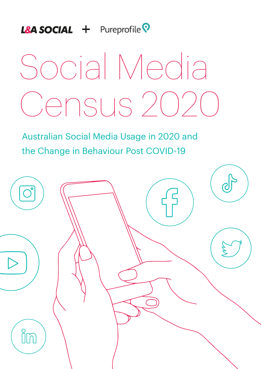### **L&A SOCIAL** + Pureprofile<sup>Q</sup>

# Social Media Census 2020

Australian Social Media Usage in 2020 and the Change in Behaviour Post COVID-19

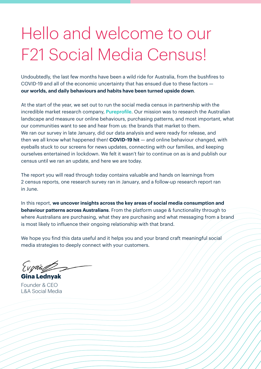# Hello and welcome to our F21 Social Media Census!

Undoubtedly, the last few months have been a wild ride for Australia, from the bushfires to COVID-19 and all of the economic uncertainty that has ensued due to these factors **our worlds, and daily behaviours and habits have been turned upside down**.

At the start of the year, we set out to run the social media census in partnership with the incredible market research company, Pureprofile. Our mission was to research the Australian landscape and measure our online behaviours, purchasing patterns, and most important, what our communities want to see and hear from us: the brands that market to them. We ran our survey in late January, did our data analysis and were ready for release, and then we all know what happened then! **COVID-19 hit** — and online behaviour changed, with eyeballs stuck to our screens for news updates, connecting with our families, and keeping ourselves entertained in lockdown. We felt it wasn't fair to continue on as is and publish our census until we ran an update, and here we are today.

The report you will read through today contains valuable and hands on learnings from 2 census reports, one research survey ran in January, and a follow-up research report ran in June.

In this report, **we uncover insights across the key areas of social media consumption and behaviour patterns across Australians**. From the platform usage & functionality through to where Australians are purchasing, what they are purchasing and what messaging from a brand is most likely to influence their ongoing relationship with that brand.

We hope you find this data useful and it helps you and your brand craft meaningful social media strategies to deeply connect with your customers.

Evoria

**Gina Lednyak** Founder & CEO L&A Social Media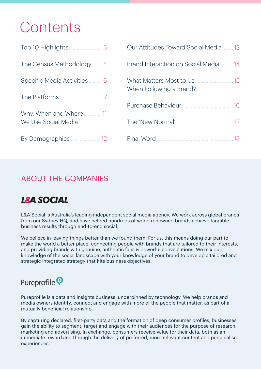### Contents

|                              | Our Attitudes Toward Social Media 13                     |
|------------------------------|----------------------------------------------------------|
| The Census Methodology  4    | Brand Interaction on Social Media<br>14                  |
| Specific Media Activities  6 | What Matters Most to Us<br>15<br>When Following a Brand? |
|                              | 16                                                       |
| We Use Social Media          |                                                          |
|                              | 18                                                       |

#### ABOUT THE COMPANIES

#### **L&A SOCIAL**

L&A Social is Australia's leading independent social media agency. We work across global brands from our Sydney HQ, and have helped hundreds of world renowned brands achieve tangible business results through end-to-end social.

We believe in leaving things better than we found them. For us, this means doing our part to make the world a better place, connecting people with brands that are tailored to their interests, and providing brands with genuine, authentic fans & powerful conversations. We mix our knowledge of the social landscape with your knowledge of your brand to develop a tailored and strategic integrated strategy that hits business objectives.

#### Pureprofile<sup>?</sup>

Pureprofile is a data and insights business, underpinned by technology. We help brands and media owners identify, connect and engage with more of the people that matter, as part of a mutually beneficial relationship.

By capturing declared, first-party data and the formation of deep consumer profiles, businesses gain the ability to segment, target and engage with their audiences for the purpose of research, marketing and advertising. In exchange, consumers receive value for their data, both as an immediate reward and through the delivery of preferred, more relevant content and personalised experiences.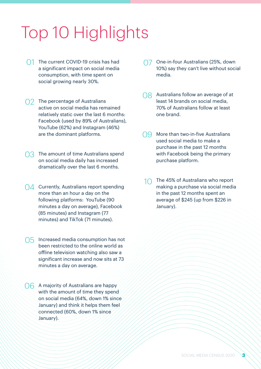## Top 10 Highlights

- 01 The current COVID-19 crisis has had a significant impact on social media consumption, with time spent on social growing nearly 30%.
- O<sub>2</sub> The percentage of Australians active on social media has remained relatively static over the last 6 months: Facebook (used by 89% of Australians), YouTube (62%) and Instagram (46%) are the dominant platforms.
- 03 The amount of time Australians spend on social media daily has increased dramatically over the last 6 months.
- 04 Currently, Australians report spending more than an hour a day on the following platforms: YouTube (90 minutes a day on average), Facebook (85 minutes) and Instagram (77 minutes) and TikTok (71 minutes).
- 05 Increased media consumption has not been restricted to the online world as offline television watching also saw a significant increase and now sits at 73 minutes a day on average.
- O6 A majority of Australians are happy with the amount of time they spend on social media (64%, down 1% since January) and think it helps them feel connected (60%, down 1% since January).
- O7 One-in-four Australians (25%, down 10%) say they can't live without social media.
- O8 Australians follow an average of at least 14 brands on social media, 70% of Australians follow at least one brand.
- O<sub>9</sub> More than two-in-five Australians used social media to make a purchase in the past 12 months with Facebook being the primary purchase platform.
- The 45% of Australians who report making a purchase via social media in the past 12 months spent an average of \$245 (up from \$226 in January).  $1<sup>0</sup>$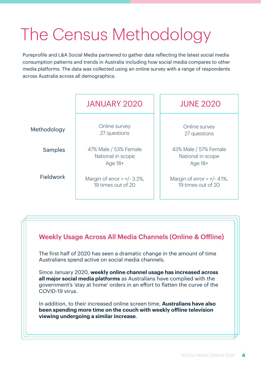## The Census Methodology

Pureprofile and L&A Social Media partnered to gather data reflecting the latest social media consumption patterns and trends in Australia including how social media compares to other media platforms. The data was collected using an online survey with a range of respondents across Australia across all demographics.

|             | <b>JANUARY 2020</b>                                   | <b>JUNE 2020</b>                                      |
|-------------|-------------------------------------------------------|-------------------------------------------------------|
| Methodology | Online survey<br>27 questions                         | Online survey<br>27 questions                         |
| Samples     | 47% Male / 53% Female<br>National in scope<br>Age 18+ | 43% Male / 57% Female<br>National in scope<br>Age 18+ |
| Fieldwork   | Margin of error = $+/- 3.2\%$ ,<br>19 times out of 20 | Margin of error = $+/- 4.1\%$ ,<br>19 times out of 20 |

#### Weekly Usage Across All Media Channels (Online & Offline)

The first half of 2020 has seen a dramatic change in the amount of time Australians spend active on social media channels.

Since January 2020, **weekly online channel usage has increased across all major social media platforms** as Australians have complied with the government's 'stay at home' orders in an effort to flatten the curve of the COVID-19 virus.

In addition, to their increased online screen time, **Australians have also been spending more time on the couch with weekly offline television viewing undergoing a similar increase**.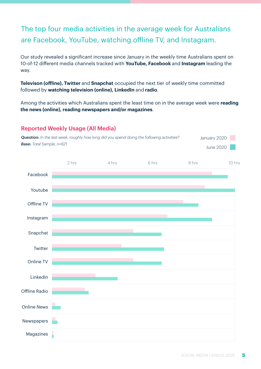#### The top four media activities in the average week for Australians are Facebook, YouTube, watching offline TV, and Instagram.

Our study revealed a significant increase since January in the weekly time Australians spent on 10-of-12 different media channels tracked with **YouTube, Facebook** and **Instagram** leading the way.

**Televison (offline), Twitter** and **Snapchat** occupied the next tier of weekly time committed followed by **watching television (online), LinkedIn** and **radio**.

Among the activities which Australians spent the least time on in the average week were **reading the news (online), reading newspapers and/or magazines**.

#### Reported Weekly Usage (All Media)



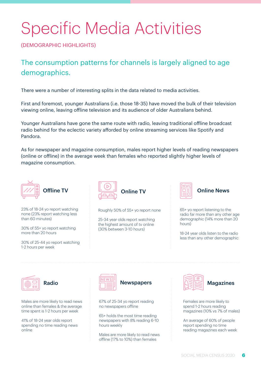## Specific Media Activities

(DEMOGRAPHIC HIGHLIGHTS)

The consumption patterns for channels is largely aligned to age demographics.

There were a number of interesting splits in the data related to media activities.

First and foremost, younger Australians (i.e. those 18-35) have moved the bulk of their television viewing online, leaving offline television and its audience of older Australians behind.

Younger Australians have gone the same route with radio, leaving traditional offline broadcast radio behind for the eclectic variety afforded by online streaming services like Spotify and Pandora.

As for newspaper and magazine consumption, males report higher levels of reading newspapers (online or offline) in the average week than females who reported slightly higher levels of magazine consumption.



23% of 18-24 yo report watching none (23% report watching less than 60 minutes)

30% of 55+ yo report watching more than 20 hours

30% of 25-44 yo report watching 1-2 hours per week



Roughly 50% of 55+ yo report none

25-34 year olds report watching the highest amount of tv online (30% between 3-10 hours)



Online News

65+ yo report listening to the radio far more than any other age demographic (14% more than 20 hours)

18-24 year olds listen to the radio less than any other demographic



Radio

Males are more likely to read news online than females & the average time spent is 1-2 hours per week

41% of 18-24 year olds report spending no time reading news online





67% of 25-34 yo report reading no newspapers offline

65+ holds the most time reading newspapers with 8% reading 6-10 hours weekly

Males are more likely to read news offline (17% to 10%) than females



**Magazines** 

Females are more likely to spend 1-2 hours reading magazines (10% vs 7% of males)

An average of 60% of people report spending no time reading magazines each week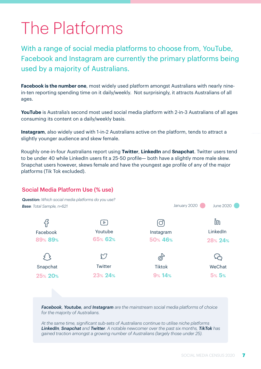### The Platforms

With a range of social media platforms to choose from, YouTube, Facebook and Instagram are currently the primary platforms being used by a majority of Australians.

**Facebook is the number one**, most widely used platform amongst Australians with nearly ninein-ten reporting spending time on it daily/weekly. Not surprisingly, it attracts Australians of all ages.

YouTube is Australia's second most used social media platform with 2-in-3 Australians of all ages consuming its content on a daily/weekly basis.

**Instagram**, also widely used with 1-in-2 Australians active on the platform, tends to attract a slightly younger audience and skew female.

Roughly one-in-four Australians report using **Twitter**, **LinkedIn** and **Snapchat**. Twitter users tend to be under 40 while LinkedIn users fit a 25-50 profile— both have a slightly more male skew. Snapchat users however, skews female and have the youngest age profile of any of the major platforms (Tik Tok excluded).

#### Social Media Platform Use (% use)



*Facebook, Youtube, and Instagram are the mainstream social media platforms of choice for the majority of Australians.*

*At the same time, significant sub-sets of Australians continue to utilise niche platforms LinkedIn, Snapchat and Twitter. A notable newcomer over the past six months, TikTok has gained traction amongst a growing number of Australians (largely those under 25).*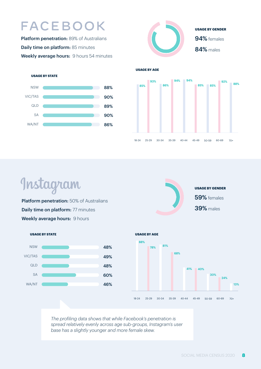### **FACEBOOK**

Platform penetration: 89% of Australians Daily time on platform: 85 minutes Weekly average hours: 9 hours 54 minutes



**USAGE BY AGE**

#### **USAGE BY STATE**





Instagram

Platform penetration: 50% of Australians Daily time on platform: 77 minutes Weekly average hours: 9 hours







*The profiling data shows that while Facebook's penetration is spread relatively evenly across age sub-groups, Instagram's user base has a slightly younger and more female skew.*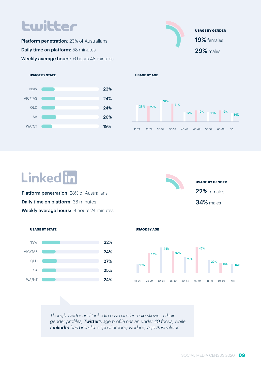### **Lwitter**

Platform penetration: 23% of Australians **Daily time on platform:** 58 minutes Weekly average hours: 6 hours 48 minutes

#### **USAGE BY STATE**







### **Linked** in

**Platform penetration:** 28% of Australians Daily time on platform: 38 minutes Weekly average hours: 4 hours 24 minutes





**USAGE BY AGE**



*Though Twitter and LinkedIn have similar male skews in their gender profiles, Twitter's age profile has an under 40 focus, while LinkedIn has broader appeal among working-age Australians.*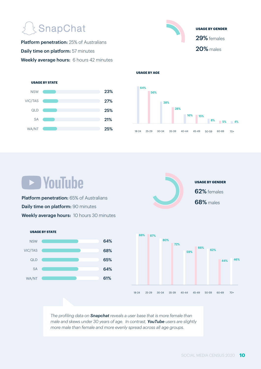### **SnapChat**

Platform penetration: 25% of Australians Daily time on platform: 57 minutes Weekly average hours: 6 hours 42 minutes







**USAGE BY AGE**

### **D** YouTube

Platform penetration: 65% of Australians Daily time on platform: 90 minutes Weekly average hours: 10 hours 30 minutes







*The profiling data on Snapchat reveals a user base that is more female than male and skews under 30 years of age. In contrast, YouTube users are slightly more male than female and more evenly spread across all age groups.*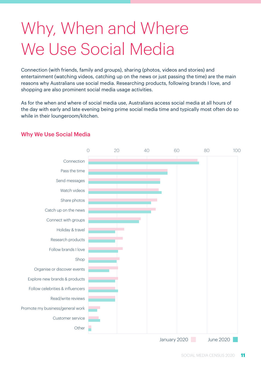# Why, When and Where We Use Social Media

Connection (with friends, family and groups), sharing (photos, videos and stories) and entertainment (watching videos, catching up on the news or just passing the time) are the main reasons why Australians use social media. Researching products, following brands I love, and shopping are also prominent social media usage activities.

As for the when and where of social media use, Australians access social media at all hours of the day with early and late evening being prime social media time and typically most often do so while in their loungeroom/kitchen.



#### Why We Use Social Media

January 2020 June 2020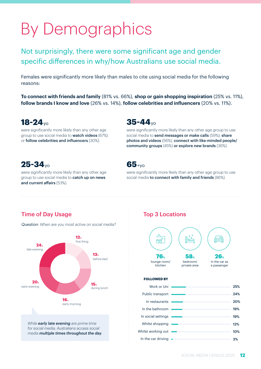# By Demographics

Not surprisingly, there were some significant age and gender specific differences in why/how Australians use social media.

Females were significantly more likely than males to cite using social media for the following reasons:

**To connect with friends and family** (81% vs. 66%), **shop or gain shopping inspiration** (25% vs. 11%), **follow brands I know and love** (26% vs. 14%), **follow celebrities and influencers** (20% vs. 11%).

#### **18-24** yo

were significantly more likely than any other age group to use social media to watch videos (67%) or follow celebrities and influencers (30%).

#### **35-44** yo

were significantly more likely than any other age group to use social media to send messages or make calls (59%), share photos and videos (56%), connect with like-minded people/ community groups (45%) or explore new brands (36%).

#### **25-34** yo

were significantly more likely than any other age group to use social media to catch up on news and current affairs (53%).



were significantly more likely than any other age group to use social media to connect with family and friends (86%).

#### Time of Day Usage

*Question: When are you most active on social media?*



#### Top 3 Locations



| Public transport   | 24% |
|--------------------|-----|
| In restaurants     | 20% |
| In the bathroom    | 19% |
| In social settings | 19% |
| Whilst shopping    | 12% |
| Whilst working out | 10% |
| In the car driving | 3%  |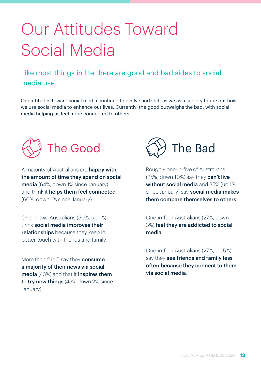# Our Attitudes Toward Social Media

#### Like most things in life there are good and bad sides to social media use.

Our attitudes toward social media continue to evolve and shift as we as a society figure out how we use social media to enhance our lives. Currently, the good outweighs the bad, with social media helping us feel more connected to others.



A majority of Australians are **happy with** the amount of time they spend on social media (64%, down 1% since January) and think it helps them feel connected (60%, down 1% since January).

One-in-two Australians (50%, up 1%) think social media improves their relationships because they keep in better touch with friends and family.

More than 2 in 5 say they **consume** a majority of their news via social media (43%) and that it inspires them to try new things (43% down 2% since January).



Roughly one-in-five of Australians (25%, down 10%) say they **can't live** without social media and 35% (up 1% since January) say **social media makes** them compare themselves to others.

One-in-four Australians (27%, down 3%) feel they are addicted to social media.

One-in-four Australians (27%, up 5%) say they see friends and family less often because they connect to them via social media.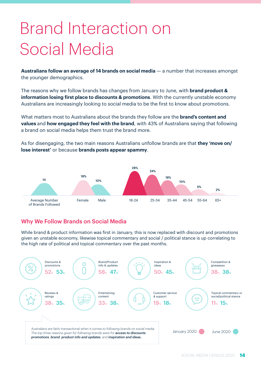# Brand Interaction on Social Media

**Australians follow an average of 14 brands on social media** — a number that increases amongst the younger demographics.

The reasons why we follow brands has changes from January to June, with **brand product & information losing first place to discounts & promotions**. With the currently unstable economy Australians are increasingly looking to social media to be the first to know about promotions.

What matters most to Australians about the brands they follow are the **brand's content and values** and **how engaged they feel with the brand**, with 43% of Australians saying that following a brand on social media helps them trust the brand more.

As for disengaging, the two main reasons Australians unfollow brands are that **they 'move on/ lose interest'** or because **brands posts appear spammy**.



#### Why We Follow Brands on Social Media

While brand & product information was first in January, this is now replaced with discount and promotions given an unstable economy, likewise topical commentary and social / political stance is up correlating to the high rate of political and topical commentary over the past months.

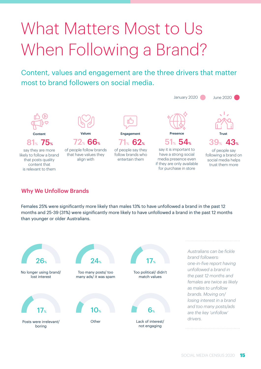# What Matters Most to Us When Following a Brand?

Content, values and engagement are the three drivers that matter most to brand followers on social media.



#### Why We Unfollow Brands

Females 25% were significantly more likely than males 13% to have unfollowed a brand in the past 12 months and 25-39 (31%) were significantly more likely to have unfollowed a brand in the past 12 months than younger or older Australians.

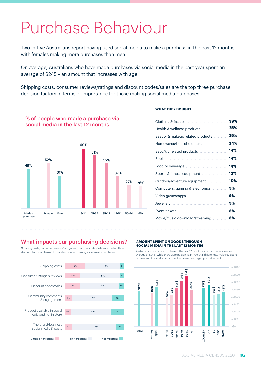### Purchase Behaviour

Two-in-five Australians report having used social media to make a purchase in the past 12 months with females making more purchases than men.

On average, Australians who have made purchases via social media in the past year spent an average of \$245 – an amount that increases with age.

Shipping costs, consumer reviews/ratings and discount codes/sales are the top three purchase decision factors in terms of importance for those making social media purchases.



% of people who made a purchase via social media in the last 12 months

#### **WHAT THEY BOUGHT**

| Health & wellness products          | 25% |
|-------------------------------------|-----|
| Beauty & makeup related products    | 25% |
| Homewares/household items  24%      |     |
| Baby/kid related products  14%      |     |
|                                     |     |
|                                     |     |
|                                     |     |
| Outdoor/adventure equipment  10%    |     |
| Computers, gaming & electronics  9% |     |
|                                     |     |
|                                     |     |
|                                     |     |
| Movie/music download/streaming  8%  |     |
|                                     |     |

#### What impacts our purchasing decisions?

Shipping costs, consumer reviews/ratings and discount codes/sales are the top three decision factors in terms of importance when making social media purchases.



#### **AMOUNT SPENT ON GOODS THROUGH SOCIAL MEDIA IN THE LAST 12 MONTHS**

Australians who made a purchase in the past 12 months via social media spent an average of \$245. While there were no significant regional differences, males outspent females and the total amount spent increased with age up to retirement.

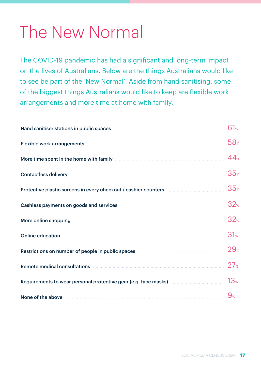### The New Normal

The COVID-19 pandemic has had a significant and long-term impact on the lives of Australians. Below are the things Australians would like to see be part of the 'New Normal'. Aside from hand sanitising, some of the biggest things Australians would like to keep are flexible work arrangements and more time at home with family.

| Hand sanitiser stations in public spaces <b>Examine Stationary State State State State State State State State State State State State State State State State State State State State State State State State State State State</b> | 61%             |
|--------------------------------------------------------------------------------------------------------------------------------------------------------------------------------------------------------------------------------------|-----------------|
| Flexible work arrangements <b>Example 2018</b> 2019 12:00:00 12:00:00 12:00:00 12:00:00 12:00:00 12:00:00 12:00:00 12:00:00 12:00:00 12:00:00 12:00:00 12:00:00 12:00:00 12:00:00 12:00:00 12:00:00 12:00:00 12:00:00 12:00:00 12:0  | 58 <sub>°</sub> |
| More time spent in the home with family <b>Example 20</b> in the spent in the home with family                                                                                                                                       | 44 <sub>%</sub> |
| Contactless delivery <b>contactless</b> delivery <b>contactles</b>                                                                                                                                                                   | 35 <sub>°</sub> |
| Protective plastic screens in every checkout / cashier counters <b>constants</b> and the plastic screens in every checkout / cashier counters                                                                                        | 35 <sub>°</sub> |
| Cashless payments on goods and services <b>Manual Cashless payments</b> on goods and services <b>Manual Cashless</b>                                                                                                                 | 32 <sub>%</sub> |
| More online shopping <b>contract the contract of the shopping</b> contract the contract of the shopping                                                                                                                              | 32 <sub>%</sub> |
| Online education <b>contracts</b> and contracts are all the contracts of the contract of the contract of the contracts of the contracts of the contracts of the contracts of the contracts of the contracts of the contracts of the  | 31 <sub>°</sub> |
| Restrictions on number of people in public spaces <b>Communist Container and September</b>                                                                                                                                           | 29.5            |
| Remote medical consultations <b>Exercise Constanting Consumers</b>                                                                                                                                                                   | $27^{\circ}$    |
| Requirements to wear personal protective gear (e.g. face masks) $\quad \  \  \, \ldots \quad \  \  \, \ldots \quad \  \  \, \ldots \quad \  \, 13$ $\,$                                                                              |                 |
| None of the above <b>contract the series of the above</b>                                                                                                                                                                            | $9^{\circ}$     |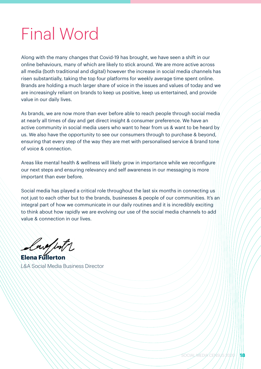### Final Word

Along with the many changes that Covid-19 has brought, we have seen a shift in our online behaviours, many of which are likely to stick around. We are more active across all media (both traditional and digital) however the increase in social media channels has risen substantially, taking the top four platforms for weekly average time spent online. Brands are holding a much larger share of voice in the issues and values of today and we are increasingly reliant on brands to keep us positive, keep us entertained, and provide value in our daily lives.

As brands, we are now more than ever before able to reach people through social media at nearly all times of day and get direct insight & consumer preference. We have an active community in social media users who want to hear from us & want to be heard by us. We also have the opportunity to see our consumers through to purchase & beyond, ensuring that every step of the way they are met with personalised service & brand tone of voice & connection.

Areas like mental health & wellness will likely grow in importance while we reconfigure our next steps and ensuring relevancy and self awareness in our messaging is more important than ever before.

Social media has played a critical role throughout the last six months in connecting us not just to each other but to the brands, businesses & people of our communities. It's an integral part of how we communicate in our daily routines and it is incredibly exciting to think about how rapidly we are evolving our use of the social media channels to add value & connection in our lives.

lard with

**Elena Fullerton** L&A Social Media Business Director